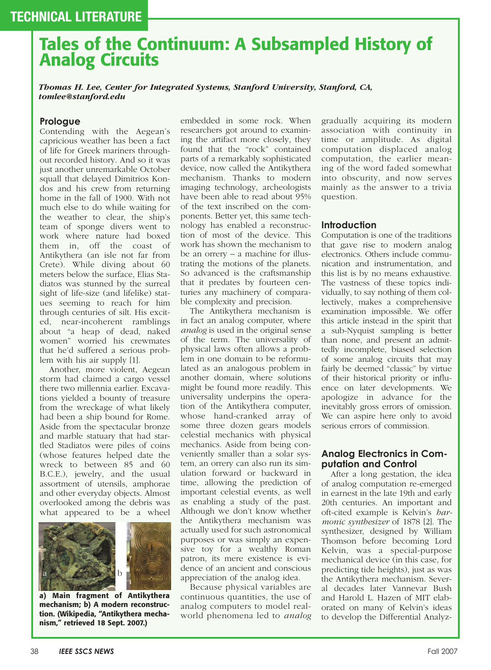# **Tales of the Continuum: A Subsampled History of Analog Circuits**

*Thomas H. Lee, Center for Integrated Systems, Stanford University, Stanford, CA, tomlee@stanford.edu*

#### **Prologue**

Contending with the Aegean's capricious weather has been a fact of life for Greek mariners throughout recorded history. And so it was just another unremarkable October squall that delayed Dimitrios Kondos and his crew from returning home in the fall of 1900. With not much else to do while waiting for the weather to clear, the ship's team of sponge divers went to work where nature had boxed them in, off the coast of Antikythera (an isle not far from Crete). While diving about 60 meters below the surface, Elias Stadiatos was stunned by the surreal sight of life-size (and lifelike) statues seeming to reach for him through centuries of silt. His excited, near-incoherent ramblings about "a heap of dead, naked women" worried his crewmates that he'd suffered a serious problem with his air supply [1].

Another, more violent, Aegean storm had claimed a cargo vessel there two millennia earlier. Excavations yielded a bounty of treasure from the wreckage of what likely had been a ship bound for Rome. Aside from the spectacular bronze and marble statuary that had startled Stadiatos were piles of coins (whose features helped date the wreck to between 85 and 60 B.C.E.), jewelry, and the usual assortment of utensils, amphorae and other everyday objects. Almost overlooked among the debris was what appeared to be a wheel



**a) Main fragment of Antikythera mechanism; b) A modern reconstruction. (Wikipedia, "Antikythera mechanism," retrieved 18 Sept. 2007.)**

embedded in some rock. When researchers got around to examining the artifact more closely, they found that the "rock" contained parts of a remarkably sophisticated device, now called the Antikythera mechanism. Thanks to modern imaging technology, archeologists have been able to read about 95% of the text inscribed on the components. Better yet, this same technology has enabled a reconstruction of most of the device. This work has shown the mechanism to be an orrery – a machine for illustrating the motions of the planets. So advanced is the craftsmanship that it predates by fourteen centuries any machinery of comparable complexity and precision.

The Antikythera mechanism is in fact an analog computer, where *analog* is used in the original sense of the term. The universality of physical laws often allows a problem in one domain to be reformulated as an analogous problem in another domain, where solutions might be found more readily. This universality underpins the operation of the Antikythera computer, whose hand-cranked array of some three dozen gears models celestial mechanics with physical mechanics. Aside from being conveniently smaller than a solar system, an orrery can also run its simulation forward or backward in time, allowing the prediction of important celestial events, as well as enabling a study of the past. Although we don't know whether the Antikythera mechanism was actually used for such astronomical purposes or was simply an expensive toy for a wealthy Roman patron, its mere existence is evidence of an ancient and conscious appreciation of the analog idea.

Because physical variables are continuous quantities, the use of analog computers to model realworld phenomena led to *analog* gradually acquiring its modern association with continuity in time or amplitude. As digital computation displaced analog computation, the earlier meaning of the word faded somewhat into obscurity, and now serves mainly as the answer to a trivia question.

#### **Introduction**

Computation is one of the traditions that gave rise to modern analog electronics. Others include communication and instrumentation, and this list is by no means exhaustive. The vastness of these topics individually, to say nothing of them collectively, makes a comprehensive examination impossible. We offer this article instead in the spirit that a sub-Nyquist sampling is better than none, and present an admittedly incomplete, biased selection of some analog circuits that may fairly be deemed "classic" by virtue of their historical priority or influence on later developments. We apologize in advance for the inevitably gross errors of omission. We can aspire here only to avoid serious errors of commission.

#### **Analog Electronics in Computation and Control**

After a long gestation, the idea of analog computation re-emerged in earnest in the late 19th and early 20th centuries. An important and oft-cited example is Kelvin's *harmonic synthesizer* of 1878 [2]. The synthesizer, designed by William Thomson before becoming Lord Kelvin, was a special-purpose mechanical device (in this case, for predicting tide heights), just as was the Antikythera mechanism. Several decades later Vannevar Bush and Harold L. Hazen of MIT elaborated on many of Kelvin's ideas to develop the Differential Analyz-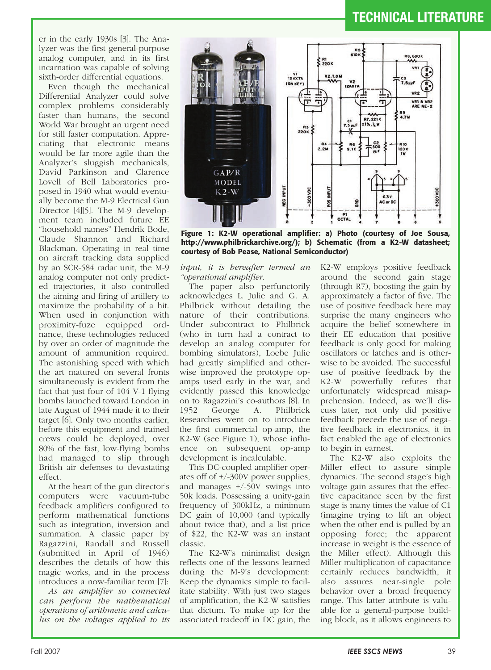er in the early 1930s [3]. The Analyzer was the first general-purpose analog computer, and in its first incarnation was capable of solving sixth-order differential equations.

Even though the mechanical Differential Analyzer could solve complex problems considerably faster than humans, the second World War brought an urgent need for still faster computation. Appreciating that electronic means would be far more agile than the Analyzer's sluggish mechanicals, David Parkinson and Clarence Lovell of Bell Laboratories proposed in 1940 what would eventually become the M-9 Electrical Gun Director [4][5]. The M-9 development team included future EE "household names" Hendrik Bode, Claude Shannon and Richard Blackman. Operating in real time on aircraft tracking data supplied by an SCR-584 radar unit, the M-9 analog computer not only predicted trajectories, it also controlled the aiming and firing of artillery to maximize the probability of a hit. When used in conjunction with proximity-fuze equipped ordnance, these technologies reduced by over an order of magnitude the amount of ammunition required. The astonishing speed with which the art matured on several fronts simultaneously is evident from the fact that just four of 104 V-1 flying bombs launched toward London in late August of 1944 made it to their target [6]. Only two months earlier, before this equipment and trained crews could be deployed, over 80% of the fast, low-flying bombs had managed to slip through British air defenses to devastating effect.

At the heart of the gun director's computers were vacuum-tube feedback amplifiers configured to perform mathematical functions such as integration, inversion and summation. A classic paper by Ragazzini, Randall and Russell (submitted in April of 1946) describes the details of how this magic works, and in the process introduces a now-familiar term [7]:

*As an amplifier so connected can perform the mathematical operations of arithmetic and calculus on the voltages applied to its*



**Figure 1: K2-W operational amplifier: a) Photo (courtesy of Joe Sousa, http://www.philbrickarchive.org/); b) Schematic (from a K2-W datasheet; courtesy of Bob Pease, National Semiconductor)**

*input, it is hereafter termed an "operational amplifier.*

The paper also perfunctorily acknowledges L. Julie and G. A. Philbrick without detailing the nature of their contributions. Under subcontract to Philbrick (who in turn had a contract to develop an analog computer for bombing simulators), Loebe Julie had greatly simplified and otherwise improved the prototype opamps used early in the war, and evidently passed this knowledge on to Ragazzini's co-authors [8]. In 1952 George A. Philbrick Researches went on to introduce the first commercial op-amp, the K2-W (see Figure 1), whose influence on subsequent op-amp development is incalculable.

This DC-coupled amplifier operates off of +/-300V power supplies, and manages +/-50V swings into 50k loads. Possessing a unity-gain frequency of 300kHz, a minimum DC gain of 10,000 (and typically about twice that), and a list price of \$22, the K2-W was an instant classic.

The K2-W's minimalist design reflects one of the lessons learned during the M-9's development: Keep the dynamics simple to facilitate stability. With just two stages of amplification, the K2-W satisfies that dictum. To make up for the associated tradeoff in DC gain, the K2-W employs positive feedback around the second gain stage (through R7), boosting the gain by approximately a factor of five. The use of positive feedback here may surprise the many engineers who acquire the belief somewhere in their EE education that positive feedback is only good for making oscillators or latches and is otherwise to be avoided. The successful use of positive feedback by the K2-W powerfully refutes that unfortunately widespread misapprehension. Indeed, as we'll discuss later, not only did positive feedback precede the use of negative feedback in electronics, it in fact enabled the age of electronics to begin in earnest.

The K2-W also exploits the Miller effect to assure simple dynamics. The second stage's high voltage gain assures that the effective capacitance seen by the first stage is many times the value of C1 (imagine trying to lift an object when the other end is pulled by an opposing force; the apparent increase in weight is the essence of the Miller effect). Although this Miller multiplication of capacitance certainly reduces bandwidth, it also assures near-single pole behavior over a broad frequency range. This latter attribute is valuable for a general-purpose building block, as it allows engineers to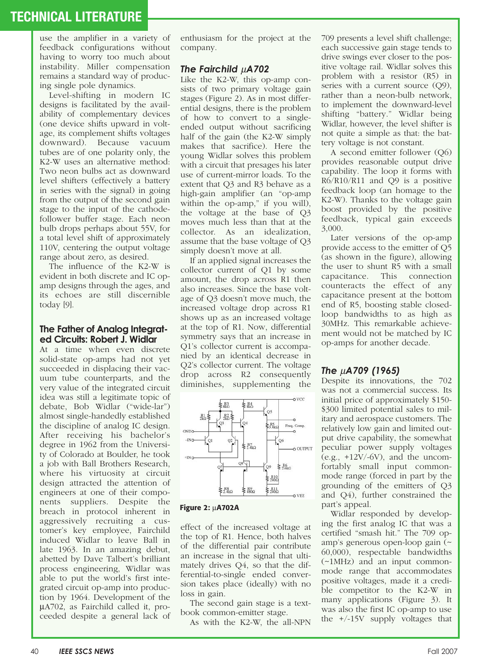use the amplifier in a variety of feedback configurations without having to worry too much about instability. Miller compensation remains a standard way of producing single pole dynamics.

Level-shifting in modern IC designs is facilitated by the availability of complementary devices (one device shifts upward in voltage, its complement shifts voltages downward). Because vacuum tubes are of one polarity only, the K2-W uses an alternative method: Two neon bulbs act as downward level shifters (effectively a battery in series with the signal) in going from the output of the second gain stage to the input of the cathodefollower buffer stage. Each neon bulb drops perhaps about 55V, for a total level shift of approximately 110V, centering the output voltage range about zero, as desired.

The influence of the K2-W is evident in both discrete and IC opamp designs through the ages, and its echoes are still discernible today [9].

#### **The Father of Analog Integrated Circuits: Robert J. Widlar**

At a time when even discrete solid-state op-amps had not yet succeeded in displacing their vacuum tube counterparts, and the very value of the integrated circuit idea was still a legitimate topic of debate, Bob Widlar ("wide-lar") almost single-handedly established the discipline of analog IC design. After receiving his bachelor's degree in 1962 from the University of Colorado at Boulder, he took a job with Ball Brothers Research, where his virtuosity at circuit design attracted the attention of engineers at one of their components suppliers. Despite the breach in protocol inherent in aggressively recruiting a customer's key employee, Fairchild induced Widlar to leave Ball in late 1963. In an amazing debut, abetted by Dave Talbert's brilliant process engineering, Widlar was able to put the world's first integrated circuit op-amp into production by 1964. Development of the µA702, as Fairchild called it, proceeded despite a general lack of

enthusiasm for the project at the company.

### *The Fairchild* µ*A702*

Like the K2-W, this op-amp consists of two primary voltage gain stages (Figure 2). As in most differential designs, there is the problem of how to convert to a singleended output without sacrificing half of the gain (the K2-W simply makes that sacrifice). Here the young Widlar solves this problem with a circuit that presages his later use of current-mirror loads. To the extent that Q3 and R3 behave as a high-gain amplifier (an "op-amp within the op-amp," if you will), the voltage at the base of Q3 moves much less than that at the collector. As an idealization, assume that the base voltage of Q3 simply doesn't move at all.

If an applied signal increases the collector current of Q1 by some amount, the drop across R1 then also increases. Since the base voltage of Q3 doesn't move much, the increased voltage drop across R1 shows up as an increased voltage at the top of R1. Now, differential symmetry says that an increase in Q1's collector current is accompanied by an identical decrease in Q2's collector current. The voltage drop across R2 consequently diminishes, supplementing the



**Figure 2:** µ**A702A**

effect of the increased voltage at the top of R1. Hence, both halves of the differential pair contribute an increase in the signal that ultimately drives Q4, so that the differential-to-single ended conversion takes place (ideally) with no loss in gain.

The second gain stage is a textbook common-emitter stage.

As with the K2-W, the all-NPN

709 presents a level shift challenge; each successive gain stage tends to drive swings ever closer to the positive voltage rail. Widlar solves this problem with a resistor (R5) in series with a current source (Q9), rather than a neon-bulb network, to implement the downward-level shifting "battery." Widlar being Widlar, however, the level shifter is not quite a simple as that: the battery voltage is not constant.

A second emitter follower (Q6) provides reasonable output drive capability. The loop it forms with R6/R10/R11 and Q9 is a positive feedback loop (an homage to the K2-W). Thanks to the voltage gain boost provided by the positive feedback, typical gain exceeds 3,000.

Later versions of the op-amp provide access to the emitter of Q5 (as shown in the figure), allowing the user to shunt R5 with a small capacitance. This connection counteracts the effect of any capacitance present at the bottom end of R5, boosting stable closedloop bandwidths to as high as 30MHz. This remarkable achievement would not be matched by IC op-amps for another decade.

### *The* µ*A709 (1965)*

Despite its innovations, the 702 was not a commercial success. Its initial price of approximately \$150- \$300 limited potential sales to military and aerospace customers. The relatively low gain and limited output drive capability, the somewhat peculiar power supply voltages  $(e.g., +12V/-6V)$ , and the uncomfortably small input commonmode range (forced in part by the grounding of the emitters of Q3 and Q4), further constrained the part's appeal.

Widlar responded by developing the first analog IC that was a certified "smash hit." The 709 opamp's generous open-loop gain (~ 60,000), respectable bandwidths (~1MHz) and an input commonmode range that accommodates positive voltages, made it a credible competitor to the K2-W in many applications (Figure 3). It was also the first IC op-amp to use the +/-15V supply voltages that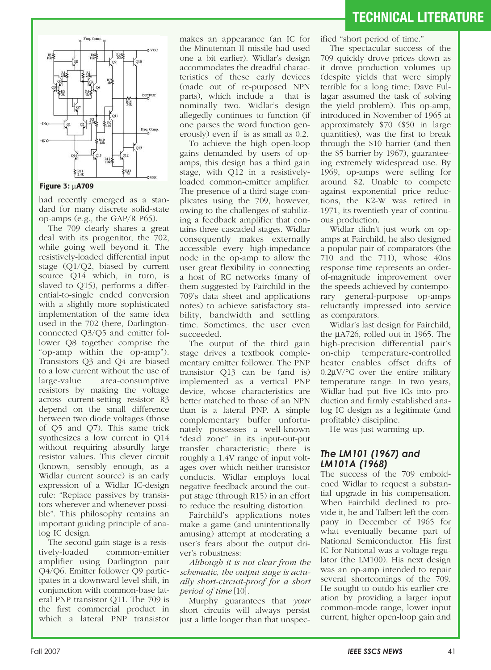



#### **Figure 3:** µ**A709**

had recently emerged as a standard for many discrete solid-state op-amps (e.g., the GAP/R P65).

The 709 clearly shares a great deal with its progenitor, the 702, while going well beyond it. The resistively-loaded differential input stage (Q1/Q2, biased by current source Q14 which, in turn, is slaved to Q15), performs a differential-to-single ended conversion with a slightly more sophisticated implementation of the same idea used in the 702 (here, Darlingtonconnected Q3/Q5 and emitter follower Q8 together comprise the "op-amp within the op-amp"). Transistors Q3 and Q4 are biased to a low current without the use of large-value area-consumptive resistors by making the voltage across current-setting resistor R3 depend on the small difference between two diode voltages (those of Q5 and Q7). This same trick synthesizes a low current in Q14 without requiring absurdly large resistor values. This clever circuit (known, sensibly enough, as a Widlar current source) is an early expression of a Widlar IC-design rule: "Replace passives by transistors wherever and whenever possible". This philosophy remains an important guiding principle of analog IC design.

The second gain stage is a resistively-loaded common-emitter amplifier using Darlington pair Q4/Q6. Emitter follower Q9 participates in a downward level shift, in conjunction with common-base lateral PNP transistor Q11. The 709 is the first commercial product in which a lateral PNP transistor

makes an appearance (an IC for the Minuteman II missile had used one a bit earlier). Widlar's design accommodates the dreadful characteristics of these early devices (made out of re-purposed NPN parts), which include a that is nominally two. Widlar's design allegedly continues to function (if one parses the word function generously) even if is as small as 0.2.

To achieve the high open-loop gains demanded by users of opamps, this design has a third gain stage, with Q12 in a resistivelyloaded common-emitter amplifier. The presence of a third stage complicates using the 709, however, owing to the challenges of stabilizing a feedback amplifier that contains three cascaded stages. Widlar consequently makes externally accessible every high-impedance node in the op-amp to allow the user great flexibility in connecting a host of RC networks (many of them suggested by Fairchild in the 709's data sheet and applications notes) to achieve satisfactory stability, bandwidth and settling time. Sometimes, the user even succeeded.

The output of the third gain stage drives a textbook complementary emitter follower. The PNP transistor Q13 can be (and is) implemented as a vertical PNP device, whose characteristics are better matched to those of an NPN than is a lateral PNP. A simple complementary buffer unfortunately possesses a well-known "dead zone" in its input-out-put transfer characteristic; there is roughly a 1.4V range of input voltages over which neither transistor conducts. Widlar employs local negative feedback around the output stage (through R15) in an effort to reduce the resulting distortion.

Fairchild's applications notes make a game (and unintentionally amusing) attempt at moderating a user's fears about the output driver's robustness:

*Although it is not clear from the schematic, the output stage is actually short-circuit-proof for a short period of time* [10]*.*

Murphy guarantees that *your* short circuits will always persist just a little longer than that unspecified "short period of time."

The spectacular success of the 709 quickly drove prices down as it drove production volumes up (despite yields that were simply terrible for a long time; Dave Fullagar assumed the task of solving the yield problem). This op-amp, introduced in November of 1965 at approximately \$70 (\$50 in large quantities), was the first to break through the \$10 barrier (and then the \$5 barrier by 1967), guaranteeing extremely widespread use. By 1969, op-amps were selling for around \$2. Unable to compete against exponential price reductions, the K2-W was retired in 1971, its twentieth year of continuous production.

Widlar didn't just work on opamps at Fairchild, he also designed a popular pair of comparators (the 710 and the 711), whose 40ns response time represents an orderof-magnitude improvement over the speeds achieved by contemporary general-purpose op-amps reluctantly impressed into service as comparators.

Widlar's last design for Fairchild, the µA726, rolled out in 1965. The high-precision differential pair's on-chip temperature-controlled heater enables offset drifts of  $0.2\mu$ V/°C over the entire military temperature range. In two years, Widlar had put five ICs into production and firmly established analog IC design as a legitimate (and profitable) discipline.

He was just warming up.

### *The LM101 (1967) and LM101A (1968)*

The success of the 709 emboldened Widlar to request a substantial upgrade in his compensation. When Fairchild declined to provide it, he and Talbert left the company in December of 1965 for what eventually became part of National Semiconductor. His first IC for National was a voltage regulator (the LM100). His next design was an op-amp intended to repair several shortcomings of the 709. He sought to outdo his earlier creation by providing a larger input common-mode range, lower input current, higher open-loop gain and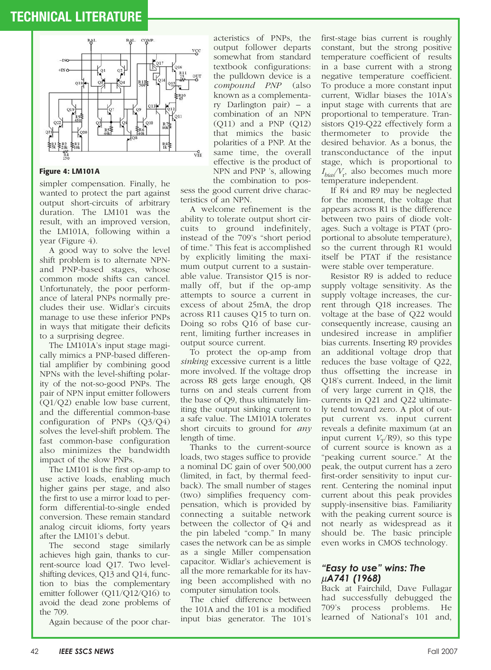

#### **Figure 4: LM101A**

simpler compensation. Finally, he wanted to protect the part against output short-circuits of arbitrary duration. The LM101 was the result, with an improved version, the LM101A, following within a year (Figure 4).

A good way to solve the level shift problem is to alternate NPNand PNP-based stages, whose common mode shifts can cancel. Unfortunately, the poor performance of lateral PNPs normally precludes their use. Widlar's circuits manage to use these inferior PNPs in ways that mitigate their deficits to a surprising degree.

The LM101A's input stage magically mimics a PNP-based differential amplifier by combining good NPNs with the level-shifting polarity of the not-so-good PNPs. The pair of NPN input emitter followers (Q1/Q2) enable low base current, and the differential common-base configuration of PNPs (Q3/Q4) solves the level-shift problem. The fast common-base configuration also minimizes the bandwidth impact of the slow PNPs.

The LM101 is the first op-amp to use active loads, enabling much higher gains per stage, and also the first to use a mirror load to perform differential-to-single ended conversion. These remain standard analog circuit idioms, forty years after the LM101's debut.

The second stage similarly achieves high gain, thanks to current-source load Q17. Two levelshifting devices, Q13 and Q14, function to bias the complementary emitter follower (Q11/Q12/Q16) to avoid the dead zone problems of the 709.

Again because of the poor char-

acteristics of PNPs, the output follower departs somewhat from standard textbook configurations: the pulldown device is a *compound PNP* (also known as a complementary Darlington pair) – a combination of an NPN (Q11) and a PNP (Q12) that mimics the basic polarities of a PNP. At the same time, the overall effective is the product of NPN and PNP 's, allowing the combination to pos-

sess the good current drive characteristics of an NPN.

A welcome refinement is the ability to tolerate output short circuits to ground indefinitely, instead of the 709's "short period of time." This feat is accomplished by explicitly limiting the maximum output current to a sustainable value. Transistor Q15 is normally off, but if the op-amp attempts to source a current in excess of about 25mA, the drop across R11 causes Q15 to turn on. Doing so robs Q16 of base current, limiting further increases in output source current.

To protect the op-amp from *sinking* excessive current is a little more involved. If the voltage drop across R8 gets large enough, Q8 turns on and steals current from the base of Q9, thus ultimately limiting the output sinking current to a safe value. The LM101A tolerates short circuits to ground for *any* length of time.

Thanks to the current-source loads, two stages suffice to provide a nominal DC gain of over 500,000 (limited, in fact, by thermal feedback). The small number of stages (two) simplifies frequency compensation, which is provided by connecting a suitable network between the collector of Q4 and the pin labeled "comp." In many cases the network can be as simple as a single Miller compensation capacitor. Widlar's achievement is all the more remarkable for its having been accomplished with no computer simulation tools.

The chief difference between the 101A and the 101 is a modified input bias generator. The 101's

first-stage bias current is roughly constant, but the strong positive temperature coefficient of results in a base current with a strong negative temperature coefficient. To produce a more constant input current, Widlar biases the 101A's input stage with currents that are proportional to temperature. Transistors Q19-Q22 effectively form a thermometer to provide the desired behavior. As a bonus, the transconductance of the input stage, which is proportional to *I bias/V*<sup>r</sup> , also becomes much more temperature independent.

If R4 and R9 may be neglected for the moment, the voltage that appears across R1 is the difference between two pairs of diode voltages. Such a voltage is PTAT (proportional to absolute temperature), so the current through R1 would itself be PTAT if the resistance were stable over temperature.

Resistor R9 is added to reduce supply voltage sensitivity. As the supply voltage increases, the current through Q18 increases. The voltage at the base of Q22 would consequently increase, causing an undesired increase in amplifier bias currents. Inserting R9 provides an additional voltage drop that reduces the base voltage of Q22, thus offsetting the increase in Q18's current. Indeed, in the limit of very large current in Q18, the currents in Q21 and Q22 ultimately tend toward zero. A plot of output current vs. input current reveals a definite maximum (at an input current  $V_T/R9$ , so this type of current source is known as a "peaking current source." At the peak, the output current has a zero first-order sensitivity to input current. Centering the nominal input current about this peak provides supply-insensitive bias. Familiarity with the peaking current source is not nearly as widespread as it should be. The basic principle even works in CMOS technology.

### *"Easy to use" wins: The* <sup>µ</sup>*A741 (1968)*

Back at Fairchild, Dave Fullagar had successfully debugged the 709's process problems. He learned of National's 101 and,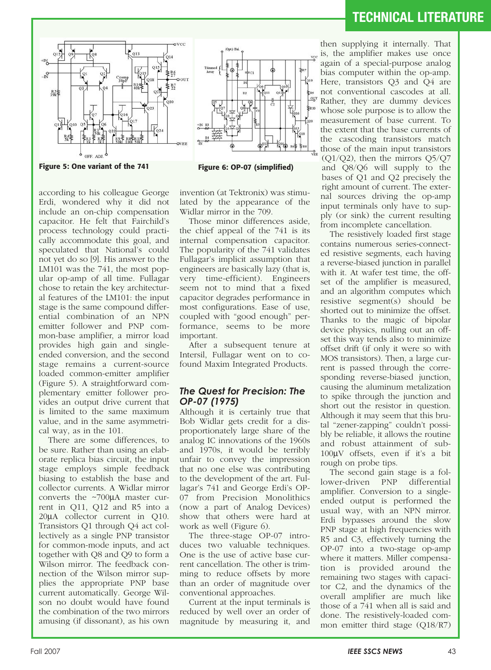



according to his colleague George Erdi, wondered why it did not include an on-chip compensation capacitor. He felt that Fairchild's process technology could practically accommodate this goal, and speculated that National's could not yet do so [9]. His answer to the LM101 was the 741, the most popular op-amp of all time. Fullagar chose to retain the key architectural features of the LM101: the input stage is the same compound differential combination of an NPN emitter follower and PNP common-base amplifier, a mirror load provides high gain and singleended conversion, and the second stage remains a current-source loaded common-emitter amplifier (Figure 5). A straightforward complementary emitter follower provides an output drive current that is limited to the same maximum value, and in the same asymmetrical way, as in the 101.

There are some differences, to be sure. Rather than using an elaborate replica bias circuit, the input stage employs simple feedback biasing to establish the base and collector currents. A Widlar mirror converts the ~700µA master current in Q11, Q12 and R5 into a 20µA collector current in Q10. Transistors Q1 through Q4 act collectively as a single PNP transistor for common-mode inputs, and act together with Q8 and Q9 to form a Wilson mirror. The feedback connection of the Wilson mirror supplies the appropriate PNP base current automatically. George Wilson no doubt would have found the combination of the two mirrors amusing (if dissonant), as his own

invention (at Tektronix) was stimulated by the appearance of the Widlar mirror in the 709.

Those minor differences aside, the chief appeal of the 741 is its internal compensation capacitor. The popularity of the 741 validates Fullagar's implicit assumption that engineers are basically lazy (that is, very time-efficient). Engineers seem not to mind that a fixed capacitor degrades performance in most configurations. Ease of use, coupled with "good enough" performance, seems to be more important.

After a subsequent tenure at Intersil, Fullagar went on to cofound Maxim Integrated Products.

#### *The Quest for Precision: The OP-07 (1975)*

Although it is certainly true that Bob Widlar gets credit for a disproportionately large share of the analog IC innovations of the 1960s and 1970s, it would be terribly unfair to convey the impression that no one else was contributing to the development of the art. Fullagar's 741 and George Erdi's OP-07 from Precision Monolithics (now a part of Analog Devices) show that others were hard at work as well (Figure 6).

The three-stage OP-07 introduces two valuable techniques. One is the use of active base current cancellation. The other is trimming to reduce offsets by more than an order of magnitude over conventional approaches.

Current at the input terminals is reduced by well over an order of magnitude by measuring it, and

then supplying it internally. That is, the amplifier makes use once again of a special-purpose analog bias computer within the op-amp. Here, transistors Q3 and Q4 are not conventional cascodes at all. Rather, they are dummy devices whose sole purpose is to allow the measurement of base current. To the extent that the base currents of the cascoding transistors match those of the main input transistors (Q1/Q2), then the mirrors Q5/Q7 and Q8/Q6 will supply to the bases of Q1 and Q2 precisely the right amount of current. The external sources driving the op-amp input terminals only have to supply (or sink) the current resulting from incomplete cancellation.

The resistively loaded first stage contains numerous series-connected resistive segments, each having a reverse-biased junction in parallel with it. At wafer test time, the offset of the amplifier is measured, and an algorithm computes which resistive segment(s) should be shorted out to minimize the offset. Thanks to the magic of bipolar device physics, nulling out an offset this way tends also to minimize offset drift (if only it were so with MOS transistors). Then, a large current is passed through the corresponding reverse-biased junction, causing the aluminum metalization to spike through the junction and short out the resistor in question. Although it may seem that this brutal "zener-zapping" couldn't possibly be reliable, it allows the routine and robust attainment of sub-100µV offsets, even if it's a bit rough on probe tips.

The second gain stage is a follower-driven PNP differential amplifier. Conversion to a singleended output is performed the usual way, with an NPN mirror. Erdi bypasses around the slow PNP stage at high frequencies with R5 and C3, effectively turning the OP-07 into a two-stage op-amp where it matters. Miller compensation is provided around the remaining two stages with capacitor C2, and the dynamics of the overall amplifier are much like those of a 741 when all is said and done. The resistively-loaded common emitter third stage (Q18/R7)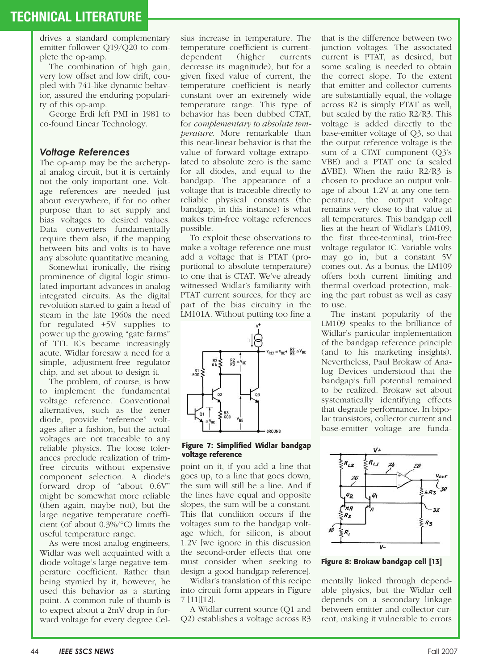drives a standard complementary emitter follower Q19/Q20 to complete the op-amp.

The combination of high gain, very low offset and low drift, coupled with 741-like dynamic behavior, assured the enduring popularity of this op-amp.

George Erdi left PMI in 1981 to co-found Linear Technology.

#### *Voltage References*

The op-amp may be the archetypal analog circuit, but it is certainly not the only important one. Voltage references are needed just about everywhere, if for no other purpose than to set supply and bias voltages to desired values. Data converters fundamentally require them also, if the mapping between bits and volts is to have any absolute quantitative meaning.

Somewhat ironically, the rising prominence of digital logic stimulated important advances in analog integrated circuits. As the digital revolution started to gain a head of steam in the late 1960s the need for regulated +5V supplies to power up the growing "gate farms" of TTL ICs became increasingly acute. Widlar foresaw a need for a simple, adjustment-free regulator chip, and set about to design it.

The problem, of course, is how to implement the fundamental voltage reference. Conventional alternatives, such as the zener diode, provide "reference" voltages after a fashion, but the actual voltages are not traceable to any reliable physics. The loose tolerances preclude realization of trimfree circuits without expensive component selection. A diode's forward drop of "about 0.6V" might be somewhat more reliable (then again, maybe not), but the large negative temperature coefficient (of about 0.3%/°C) limits the useful temperature range.

As were most analog engineers, Widlar was well acquainted with a diode voltage's large negative temperature coefficient. Rather than being stymied by it, however, he used this behavior as a starting point. A common rule of thumb is to expect about a 2mV drop in forward voltage for every degree Celsius increase in temperature. The temperature coefficient is currentdependent (higher currents decrease its magnitude), but for a given fixed value of current, the temperature coefficient is nearly constant over an extremely wide temperature range. This type of behavior has been dubbed CTAT, for *complementary to absolute temperature*. More remarkable than this near-linear behavior is that the value of forward voltage extrapolated to absolute zero is the same for all diodes, and equal to the bandgap. The appearance of a voltage that is traceable directly to reliable physical constants (the bandgap, in this instance) is what makes trim-free voltage references possible.

To exploit these observations to make a voltage reference one must add a voltage that is PTAT (proportional to absolute temperature) to one that is CTAT. We've already witnessed Widlar's familiarity with PTAT current sources, for they are part of the bias circuitry in the LM101A. Without putting too fine a



#### **Figure 7: Simplified Widlar bandgap voltage reference**

point on it, if you add a line that goes up, to a line that goes down, the sum will still be a line. And if the lines have equal and opposite slopes, the sum will be a constant. This flat condition occurs if the voltages sum to the bandgap voltage which, for silicon, is about 1.2V [we ignore in this discussion the second-order effects that one must consider when seeking to design a good bandgap reference].

Widlar's translation of this recipe into circuit form appears in Figure 7 [11][12].

A Widlar current source (Q1 and Q2) establishes a voltage across R3 that is the difference between two junction voltages. The associated current is PTAT, as desired, but some scaling is needed to obtain the correct slope. To the extent that emitter and collector currents are substantially equal, the voltage across R2 is simply PTAT as well, but scaled by the ratio R2/R3. This voltage is added directly to the base-emitter voltage of Q3, so that the output reference voltage is the sum of a CTAT component (Q3's VBE) and a PTAT one (a scaled  $\triangle$ VBE). When the ratio R2/R3 is chosen to produce an output voltage of about 1.2V at any one temperature, the output voltage remains very close to that value at all temperatures. This bandgap cell lies at the heart of Widlar's LM109, the first three-terminal, trim-free voltage regulator IC. Variable volts may go in, but a constant 5V comes out. As a bonus, the LM109 offers both current limiting and thermal overload protection, making the part robust as well as easy to use.

The instant popularity of the LM109 speaks to the brilliance of Widlar's particular implementation of the bandgap reference principle (and to his marketing insights). Nevertheless, Paul Brokaw of Analog Devices understood that the bandgap's full potential remained to be realized. Brokaw set about systematically identifying effects that degrade performance. In bipolar transistors, collector current and base-emitter voltage are funda-



**Figure 8: Brokaw bandgap cell [13]**

mentally linked through dependable physics, but the Widlar cell depends on a secondary linkage between emitter and collector current, making it vulnerable to errors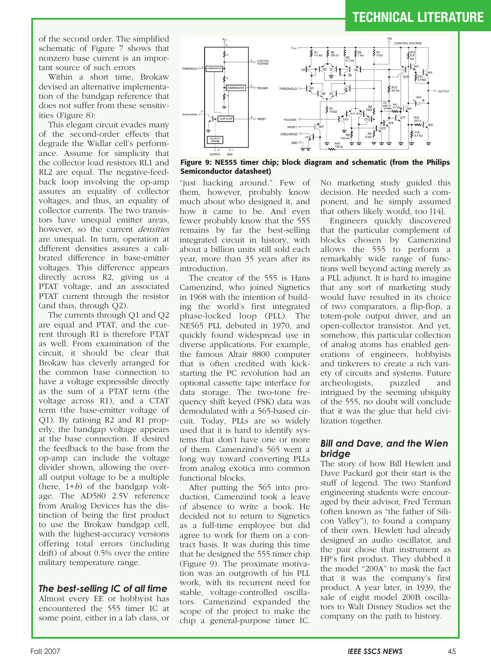of the second order. The simplified schematic of Figure 7 shows that nonzero base current is an important source of such errors

Within a short time, Brokaw devised an alternative implementation of the bandgap reference that does not suffer from these sensitivities (Figure 8):

This elegant circuit evades many of the second-order effects that degrade the Widlar cell's performance. Assume for simplicity that the collector load resistors RL1 and RL2 are equal. The negative-feedback loop involving the op-amp assures an equality of collector voltages, and thus, an equality of collector currents. The two transistors have unequal emitter areas, however, so the current *densities* are unequal. In turn, operation at different densities assures a calibrated difference in base-emitter voltages. This difference appears directly across R2, giving us a PTAT voltage, and an associated PTAT current through the resistor (and thus, through Q2).

The currents through Q1 and Q2 are equal and PTAT, and the current through R1 is therefore PTAT as well. From examination of the circuit, it should be clear that Brokaw has cleverly arranged for the common base connection to have a voltage expressible directly as the sum of a PTAT term (the voltage across R1), and a CTAT term (the base-emitter voltage of Q1). By ratioing R2 and R1 properly, the bandgap voltage appears at the base connection. If desired the feedback to the base from the op-amp can include the voltage divider shown, allowing the overall output voltage to be a multiple (here, 1+*h*) of the bandgap voltage. The AD580 2.5V reference from Analog Devices has the distinction of being the first product to use the Brokaw bandgap cell, with the highest-accuracy versions offering total errors (including drift) of about 0.5% over the entire military temperature range.

### *The best-selling IC of all time*

Almost every EE or hobbyist has encountered the 555 timer IC at some point, either in a lab class, or



**Figure 9: NE555 timer chip; block diagram and schematic (from the Philips Semiconductor datasheet)**

"just hacking around." Few of them, however, probably know much about who designed it, and how it came to be. And even fewer probably know that the 555 remains by far the best-selling integrated circuit in history, with about a billion units still sold each year, more than 35 years after its introduction.

The creator of the 555 is Hans Camenzind, who joined Signetics in 1968 with the intention of building the world's first integrated phase-locked loop (PLL). The NE565 PLL debuted in 1970, and quickly found widespread use in diverse applications. For example, the famous Altair 8800 computer that is often credited with kickstarting the PC revolution had an optional cassette tape interface for data storage. The two-tone frequency shift keyed (FSK) data was demodulated with a 565-based circuit. Today, PLLs are so widely used that it is hard to identify systems that don't have one or more of them. Camenzind's 565 went a long way toward converting PLLs from analog exotica into common functional blocks.

After putting the 565 into production, Camenzind took a leave of absence to write a book. He decided not to return to Signetics as a full-time employee but did agree to work for them on a contract basis. It was during this time that he designed the 555 timer chip (Figure 9). The proximate motivation was an outgrowth of his PLL work, with its recurrent need for stable, voltage-controlled oscillators. Camenzind expanded the scope of the project to make the chip a general-purpose timer IC.

No marketing study guided this decision. He needed such a component, and he simply assumed that others likely would, too [14].

Engineers quickly discovered that the particular complement of blocks chosen by Camenzind allows the 555 to perform a remarkably wide range of functions well beyond acting merely as a PLL adjunct. It is hard to imagine that any sort of marketing study would have resulted in its choice of two comparators, a flip-flop, a totem-pole output driver, and an open-collector transistor. And yet, somehow, this particular collection of analog atoms has enabled generations of engineers, hobbyists and tinkerers to create a rich variety of circuits and systems. Future<br>archeologists, puzzled and archeologists, puzzled and intrigued by the seeming ubiquity of the 555, no doubt will conclude that it was the glue that held civilization together.

### *Bill and Dave, and the Wien bridge*

The story of how Bill Hewlett and Dave Packard got their start is the stuff of legend. The two Stanford engineering students were encouraged by their advisor, Fred Terman (often known as "the father of Silicon Valley"), to found a company of their own. Hewlett had already designed an audio oscillator, and the pair chose that instrument as HP's first product. They dubbed it the model "200A" to mask the fact that it was the company's first product. A year later, in 1939, the sale of eight model 200B oscillators to Walt Disney Studios set the company on the path to history.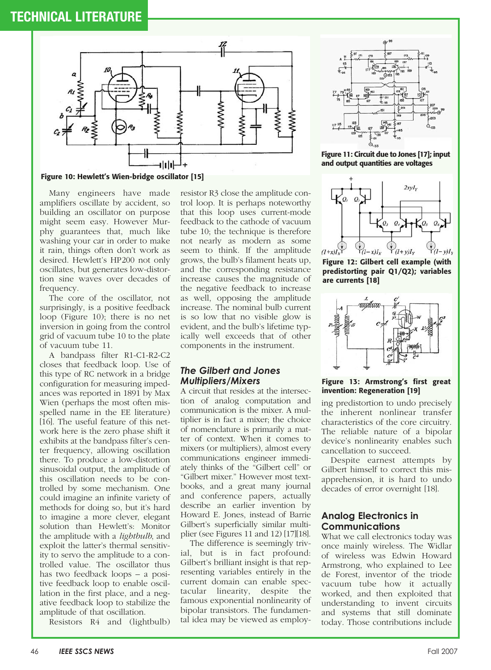

**Figure 10: Hewlett's Wien-bridge oscillator [15]**

Many engineers have made amplifiers oscillate by accident, so building an oscillator on purpose might seem easy. However Murphy guarantees that, much like washing your car in order to make it rain, things often don't work as desired. Hewlett's HP200 not only oscillates, but generates low-distortion sine waves over decades of frequency.

The core of the oscillator, not surprisingly, is a positive feedback loop (Figure 10); there is no net inversion in going from the control grid of vacuum tube 10 to the plate of vacuum tube 11.

A bandpass filter R1-C1-R2-C2 closes that feedback loop. Use of this type of RC network in a bridge configuration for measuring impedances was reported in 1891 by Max Wien (perhaps the most often misspelled name in the EE literature) [16]. The useful feature of this network here is the zero phase shift it exhibits at the bandpass filter's center frequency, allowing oscillation there. To produce a low-distortion sinusoidal output, the amplitude of this oscillation needs to be controlled by some mechanism. One could imagine an infinite variety of methods for doing so, but it's hard to imagine a more clever, elegant solution than Hewlett's: Monitor the amplitude with a *lightbulb*, and exploit the latter's thermal sensitivity to servo the amplitude to a controlled value. The oscillator thus has two feedback loops – a positive feedback loop to enable oscillation in the first place, and a negative feedback loop to stabilize the amplitude of that oscillation.

Resistors R4 and (lightbulb)

resistor R3 close the amplitude control loop. It is perhaps noteworthy that this loop uses current-mode feedback to the cathode of vacuum tube 10; the technique is therefore not nearly as modern as some seem to think. If the amplitude grows, the bulb's filament heats up, and the corresponding resistance increase causes the magnitude of the negative feedback to increase as well, opposing the amplitude increase. The nominal bulb current is so low that no visible glow is evident, and the bulb's lifetime typically well exceeds that of other components in the instrument.

#### *The Gilbert and Jones Multipliers/Mixers*

A circuit that resides at the intersection of analog computation and communication is the mixer. A multiplier is in fact a mixer; the choice of nomenclature is primarily a matter of context. When it comes to mixers (or multipliers), almost every communications engineer immediately thinks of the "Gilbert cell" or "Gilbert mixer." However most textbooks, and a great many journal and conference papers, actually describe an earlier invention by Howard E. Jones, instead of Barrie Gilbert's superficially similar multiplier (see Figures 11 and 12) [17][18].

The difference is seemingly trivial, but is in fact profound: Gilbert's brilliant insight is that representing variables entirely in the current domain can enable spectacular linearity, despite the famous exponential nonlinearity of bipolar transistors. The fundamental idea may be viewed as employ-



**Figure 11: Circuit due to Jones [17]; input and output quantities are voltages**



**Figure 12: Gilbert cell example (with predistorting pair Q1/Q2); variables are currents [18]**



#### **Figure 13: Armstrong's first great invention: Regeneration [19]**

ing predistortion to undo precisely the inherent nonlinear transfer characteristics of the core circuitry. The reliable nature of a bipolar device's nonlinearity enables such cancellation to succeed.

Despite earnest attempts by Gilbert himself to correct this misapprehension, it is hard to undo decades of error overnight [18].

#### **Analog Electronics in Communications**

What we call electronics today was once mainly wireless. The Widlar of wireless was Edwin Howard Armstrong, who explained to Lee de Forest, inventor of the triode vacuum tube how it actually worked, and then exploited that understanding to invent circuits and systems that still dominate today. Those contributions include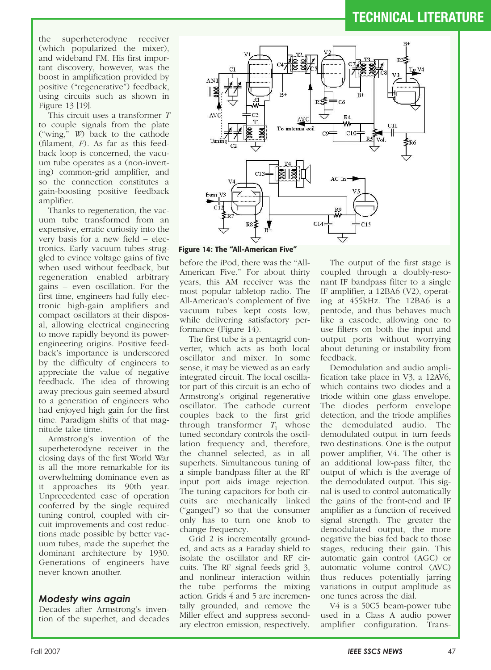the superheterodyne receiver (which popularized the mixer), and wideband FM. His first important discovery, however, was the boost in amplification provided by positive ("regenerative") feedback, using circuits such as shown in Figure 13 [19].

This circuit uses a transformer *T* to couple signals from the plate ("wing," *W*) back to the cathode (filament, *F*). As far as this feedback loop is concerned, the vacuum tube operates as a (non-inverting) common-grid amplifier, and so the connection constitutes a gain-boosting positive feedback amplifier.

Thanks to regeneration, the vacuum tube transformed from an expensive, erratic curiosity into the very basis for a new field – electronics. Early vacuum tubes struggled to evince voltage gains of five when used without feedback, but regeneration enabled arbitrary gains – even oscillation. For the first time, engineers had fully electronic high-gain amplifiers and compact oscillators at their disposal, allowing electrical engineering to move rapidly beyond its powerengineering origins. Positive feedback's importance is underscored by the difficulty of engineers to appreciate the value of negative feedback. The idea of throwing away precious gain seemed absurd to a generation of engineers who had enjoyed high gain for the first time. Paradigm shifts of that magnitude take time.

Armstrong's invention of the superheterodyne receiver in the closing days of the first World War is all the more remarkable for its overwhelming dominance even as it approaches its 90th year. Unprecedented ease of operation conferred by the single required tuning control, coupled with circuit improvements and cost reductions made possible by better vacuum tubes, made the superhet the dominant architecture by 1930. Generations of engineers have never known another.

#### *Modesty wins again*

Decades after Armstrong's invention of the superhet, and decades



**Figure 14: The "All-American Five"**

before the iPod, there was the "All-American Five." For about thirty years, this AM receiver was the most popular tabletop radio. The All-American's complement of five vacuum tubes kept costs low, while delivering satisfactory performance (Figure 14).

The first tube is a pentagrid converter, which acts as both local oscillator and mixer. In some sense, it may be viewed as an early integrated circuit. The local oscillator part of this circuit is an echo of Armstrong's original regenerative oscillator. The cathode current couples back to the first grid through transformer  $T_1$  whose tuned secondary controls the oscillation frequency and, therefore, the channel selected, as in all superhets. Simultaneous tuning of a simple bandpass filter at the RF input port aids image rejection. The tuning capacitors for both circuits are mechanically linked ("ganged") so that the consumer only has to turn one knob to change frequency.

Grid 2 is incrementally grounded, and acts as a Faraday shield to isolate the oscillator and RF circuits. The RF signal feeds grid 3, and nonlinear interaction within the tube performs the mixing action. Grids 4 and 5 are incrementally grounded, and remove the Miller effect and suppress secondary electron emission, respectively.

The output of the first stage is coupled through a doubly-resonant IF bandpass filter to a single IF amplifier, a 12BA6 (V2), operating at 455kHz. The 12BA6 is a pentode, and thus behaves much like a cascode, allowing one to use filters on both the input and output ports without worrying about detuning or instability from feedback.

Demodulation and audio amplification take place in V3, a 12AV6, which contains two diodes and a triode within one glass envelope. The diodes perform envelope detection, and the triode amplifies the demodulated audio. The demodulated output in turn feeds two destinations. One is the output power amplifier, V4. The other is an additional low-pass filter, the output of which is the average of the demodulated output. This signal is used to control automatically the gains of the front-end and IF amplifier as a function of received signal strength. The greater the demodulated output, the more negative the bias fed back to those stages, reducing their gain. This automatic gain control (AGC) or automatic volume control (AVC) thus reduces potentially jarring variations in output amplitude as one tunes across the dial.

V4 is a 50C5 beam-power tube used in a Class A audio power amplifier configuration. Trans-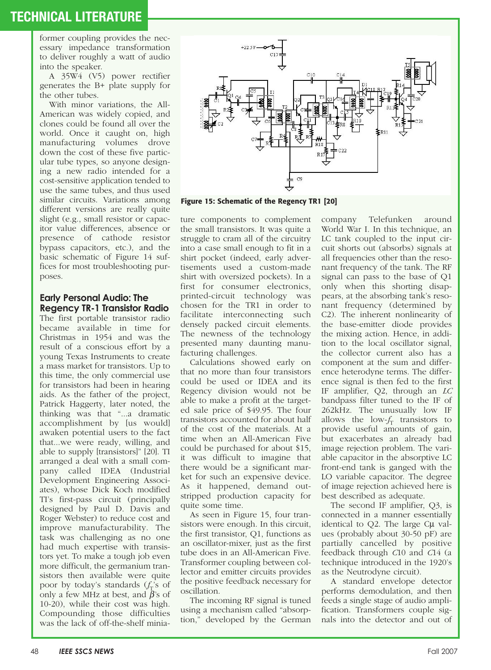former coupling provides the necessary impedance transformation to deliver roughly a watt of audio into the speaker.

A 35W4 (V5) power rectifier generates the B+ plate supply for the other tubes.

With minor variations, the All-American was widely copied, and clones could be found all over the world. Once it caught on, high manufacturing volumes drove down the cost of these five particular tube types, so anyone designing a new radio intended for a cost-sensitive application tended to use the same tubes, and thus used similar circuits. Variations among different versions are really quite slight (e.g., small resistor or capacitor value differences, absence or presence of cathode resistor bypass capacitors, etc.), and the basic schematic of Figure 14 suffices for most troubleshooting purposes.

### **Early Personal Audio: The Regency TR-1 Transistor Radio**

The first portable transistor radio became available in time for Christmas in 1954 and was the result of a conscious effort by a young Texas Instruments to create a mass market for transistors. Up to this time, the only commercial use for transistors had been in hearing aids. As the father of the project, Patrick Haggerty, later noted, the thinking was that "...a dramatic accomplishment by [us would] awaken potential users to the fact that...we were ready, willing, and able to supply [transistors]" [20]. TI arranged a deal with a small company called IDEA (Industrial Development Engineering Associates), whose Dick Koch modified TI's first-pass circuit (principally designed by Paul D. Davis and Roger Webster) to reduce cost and improve manufacturability. The task was challenging as no one had much expertise with transistors yet. To make a tough job even more difficult, the germanium transistors then available were quite poor by today's standards (f<sub>T</sub>'s of only a few MHz at best, and  $\hat{\beta}$ 's of 10-20), while their cost was high. Compounding those difficulties was the lack of off-the-shelf minia-



**Figure 15: Schematic of the Regency TR1 [20]**

ture components to complement the small transistors. It was quite a struggle to cram all of the circuitry into a case small enough to fit in a shirt pocket (indeed, early advertisements used a custom-made shirt with oversized pockets). In a first for consumer electronics, printed-circuit technology was chosen for the TR1 in order to facilitate interconnecting such densely packed circuit elements. The newness of the technology presented many daunting manufacturing challenges.

Calculations showed early on that no more than four transistors could be used or IDEA and its Regency division would not be able to make a profit at the targeted sale price of \$49.95. The four transistors accounted for about half of the cost of the materials. At a time when an All-American Five could be purchased for about \$15, it was difficult to imagine that there would be a significant market for such an expensive device. As it happened, demand outstripped production capacity for quite some time.

As seen in Figure 15, four transistors were enough. In this circuit, the first transistor, Q1, functions as an oscillator-mixer, just as the first tube does in an All-American Five. Transformer coupling between collector and emitter circuits provides the positive feedback necessary for oscillation.

The incoming RF signal is tuned using a mechanism called "absorption," developed by the German company Telefunken around World War I. In this technique, an LC tank coupled to the input circuit shorts out (absorbs) signals at all frequencies other than the resonant frequency of the tank. The RF signal can pass to the base of Q1 only when this shorting disappears, at the absorbing tank's resonant frequency (determined by C2). The inherent nonlinearity of the base-emitter diode provides the mixing action. Hence, in addition to the local oscillator signal, the collector current also has a component at the sum and difference heterodyne terms. The difference signal is then fed to the first IF amplifier, Q2, through an *LC* bandpass filter tuned to the IF of 262kHz. The unusually low IF allows the  $\text{low-}f_T$  transistors to provide useful amounts of gain, but exacerbates an already bad image rejection problem. The variable capacitor in the absorptive LC front-end tank is ganged with the LO variable capacitor. The degree of image rejection achieved here is best described as adequate.

The second IF amplifier, Q3, is connected in a manner essentially identical to Q2. The large C $\mu$  values (probably about 30-50 pF) are partially cancelled by positive feedback through *C*10 and *C*14 (a technique introduced in the 1920's as the Neutrodyne circuit).

A standard envelope detector performs demodulation, and then feeds a single stage of audio amplification. Transformers couple signals into the detector and out of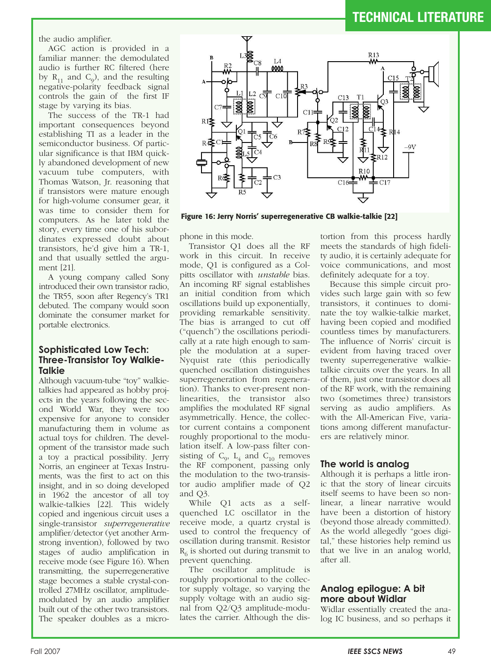the audio amplifier.

AGC action is provided in a familiar manner: the demodulated audio is further RC filtered (here by  $R_{11}$  and  $C_0$ ), and the resulting negative-polarity feedback signal controls the gain of the first IF stage by varying its bias.

The success of the TR-1 had important consequences beyond establishing TI as a leader in the semiconductor business. Of particular significance is that IBM quickly abandoned development of new vacuum tube computers, with Thomas Watson, Jr. reasoning that if transistors were mature enough for high-volume consumer gear, it was time to consider them for computers. As he later told the story, every time one of his subordinates expressed doubt about transistors, he'd give him a TR-1, and that usually settled the argument [21].

A young company called Sony introduced their own transistor radio, the TR55, soon after Regency's TR1 debuted. The company would soon dominate the consumer market for portable electronics.

#### **Sophisticated Low Tech: Three-Transistor Toy Walkie-Talkie**

Although vacuum-tube "toy" walkietalkies had appeared as hobby projects in the years following the second World War, they were too expensive for anyone to consider manufacturing them in volume as actual toys for children. The development of the transistor made such a toy a practical possibility. Jerry Norris, an engineer at Texas Instruments, was the first to act on this insight, and in so doing developed in 1962 the ancestor of all toy walkie-talkies [22]. This widely copied and ingenious circuit uses a single-transistor *superregenerative* amplifier/detector (yet another Armstrong invention), followed by two stages of audio amplification in receive mode (see Figure 16). When transmitting, the superregenerative stage becomes a stable crystal-controlled 27MHz oscillator, amplitudemodulated by an audio amplifier built out of the other two transistors. The speaker doubles as a micro-



**Figure 16: Jerry Norris' superregenerative CB walkie-talkie [22]**

phone in this mode.

Transistor Q1 does all the RF work in this circuit. In receive mode, Q1 is configured as a Colpitts oscillator with *unstable* bias. An incoming RF signal establishes an initial condition from which oscillations build up exponentially, providing remarkable sensitivity. The bias is arranged to cut off ("quench") the oscillations periodically at a rate high enough to sample the modulation at a super-Nyquist rate (this periodically quenched oscillation distinguishes superregeneration from regeneration). Thanks to ever-present nonlinearities, the transistor also amplifies the modulated RF signal asymmetrically. Hence, the collector current contains a component roughly proportional to the modulation itself. A low-pass filter consisting of  $C_0$ ,  $L_4$  and  $C_{10}$  removes the RF component, passing only the modulation to the two-transistor audio amplifier made of Q2 and Q3.

While Q1 acts as a selfquenched LC oscillator in the receive mode, a quartz crystal is used to control the frequency of oscillation during transmit. Resistor  $R_6$  is shorted out during transmit to prevent quenching.

The oscillator amplitude is roughly proportional to the collector supply voltage, so varying the supply voltage with an audio signal from Q2/Q3 amplitude-modulates the carrier. Although the dis-

tortion from this process hardly meets the standards of high fidelity audio, it is certainly adequate for voice communications, and most definitely adequate for a toy.

Because this simple circuit provides such large gain with so few transistors, it continues to dominate the toy walkie-talkie market, having been copied and modified countless times by manufacturers. The influence of Norris' circuit is evident from having traced over twenty superregenerative walkietalkie circuits over the years. In all of them, just one transistor does all of the RF work, with the remaining two (sometimes three) transistors serving as audio amplifiers. As with the All-American Five, variations among different manufacturers are relatively minor.

### **The world is analog**

Although it is perhaps a little ironic that the story of linear circuits itself seems to have been so nonlinear, a linear narrative would have been a distortion of history (beyond those already committed). As the world allegedly "goes digital," these histories help remind us that we live in an analog world, after all.

### **Analog epilogue: A bit more about Widlar**

Widlar essentially created the analog IC business, and so perhaps it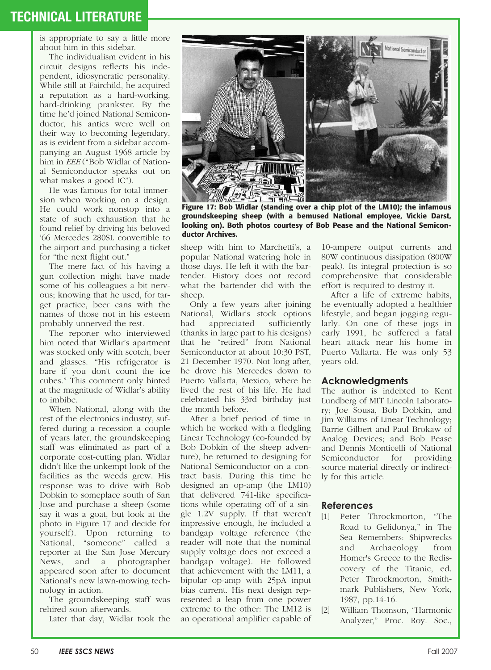is appropriate to say a little more about him in this sidebar.

The individualism evident in his circuit designs reflects his independent, idiosyncratic personality. While still at Fairchild, he acquired a reputation as a hard-working, hard-drinking prankster. By the time he'd joined National Semiconductor, his antics were well on their way to becoming legendary, as is evident from a sidebar accompanying an August 1968 article by him in *EEE* ("Bob Widlar of National Semiconductor speaks out on what makes a good IC").

He was famous for total immersion when working on a design. He could work nonstop into a state of such exhaustion that he found relief by driving his beloved '66 Mercedes 280SL convertible to the airport and purchasing a ticket for "the next flight out."

The mere fact of his having a gun collection might have made some of his colleagues a bit nervous; knowing that he used, for target practice, beer cans with the names of those not in his esteem probably unnerved the rest.

The reporter who interviewed him noted that Widlar's apartment was stocked only with scotch, beer and glasses. "His refrigerator is bare if you don't count the ice cubes." This comment only hinted at the magnitude of Widlar's ability to imbibe.

When National, along with the rest of the electronics industry, suffered during a recession a couple of years later, the groundskeeping staff was eliminated as part of a corporate cost-cutting plan. Widlar didn't like the unkempt look of the facilities as the weeds grew. His response was to drive with Bob Dobkin to someplace south of San Jose and purchase a sheep (some say it was a goat, but look at the photo in Figure 17 and decide for yourself). Upon returning to National, "someone" called a reporter at the San Jose Mercury News, and a photographer appeared soon after to document National's new lawn-mowing technology in action.

The groundskeeping staff was rehired soon afterwards.

Later that day, Widlar took the



**Figure 17: Bob Widlar (standing over a chip plot of the LM10); the infamous groundskeeping sheep (with a bemused National employee, Vickie Darst, looking on). Both photos courtesy of Bob Pease and the National Semiconductor Archives.** 

sheep with him to Marchetti's, a popular National watering hole in those days. He left it with the bartender. History does not record what the bartender did with the sheep.

Only a few years after joining National, Widlar's stock options had appreciated sufficiently (thanks in large part to his designs) that he "retired" from National Semiconductor at about 10:30 PST, 21 December 1970. Not long after, he drove his Mercedes down to Puerto Vallarta, Mexico, where he lived the rest of his life. He had celebrated his 33rd birthday just the month before.

After a brief period of time in which he worked with a fledgling Linear Technology (co-founded by Bob Dobkin of the sheep adventure), he returned to designing for National Semiconductor on a contract basis. During this time he designed an op-amp (the LM10) that delivered 741-like specifications while operating off of a single 1.2V supply. If that weren't impressive enough, he included a bandgap voltage reference (the reader will note that the nominal supply voltage does not exceed a bandgap voltage). He followed that achievement with the LM11, a bipolar op-amp with 25pA input bias current. His next design represented a leap from one power extreme to the other: The LM12 is an operational amplifier capable of 10-ampere output currents and 80W continuous dissipation (800W peak). Its integral protection is so comprehensive that considerable effort is required to destroy it.

After a life of extreme habits, he eventually adopted a healthier lifestyle, and began jogging regularly. On one of these jogs in early 1991, he suffered a fatal heart attack near his home in Puerto Vallarta. He was only 53 years old.

#### **Acknowledgments**

The author is indebted to Kent Lundberg of MIT Lincoln Laboratory; Joe Sousa, Bob Dobkin, and Jim Williams of Linear Technology; Barrie Gilbert and Paul Brokaw of Analog Devices; and Bob Pease and Dennis Monticelli of National Semiconductor for providing source material directly or indirectly for this article.

#### **References**

- [1] Peter Throckmorton, "The Road to Gelidonya," in The Sea Remembers: Shipwrecks and Archaeology from Homer's Greece to the Rediscovery of the Titanic, ed. Peter Throckmorton, Smithmark Publishers, New York, 1987, pp.14-16.
- [2] William Thomson, "Harmonic Analyzer," Proc. Roy. Soc.,